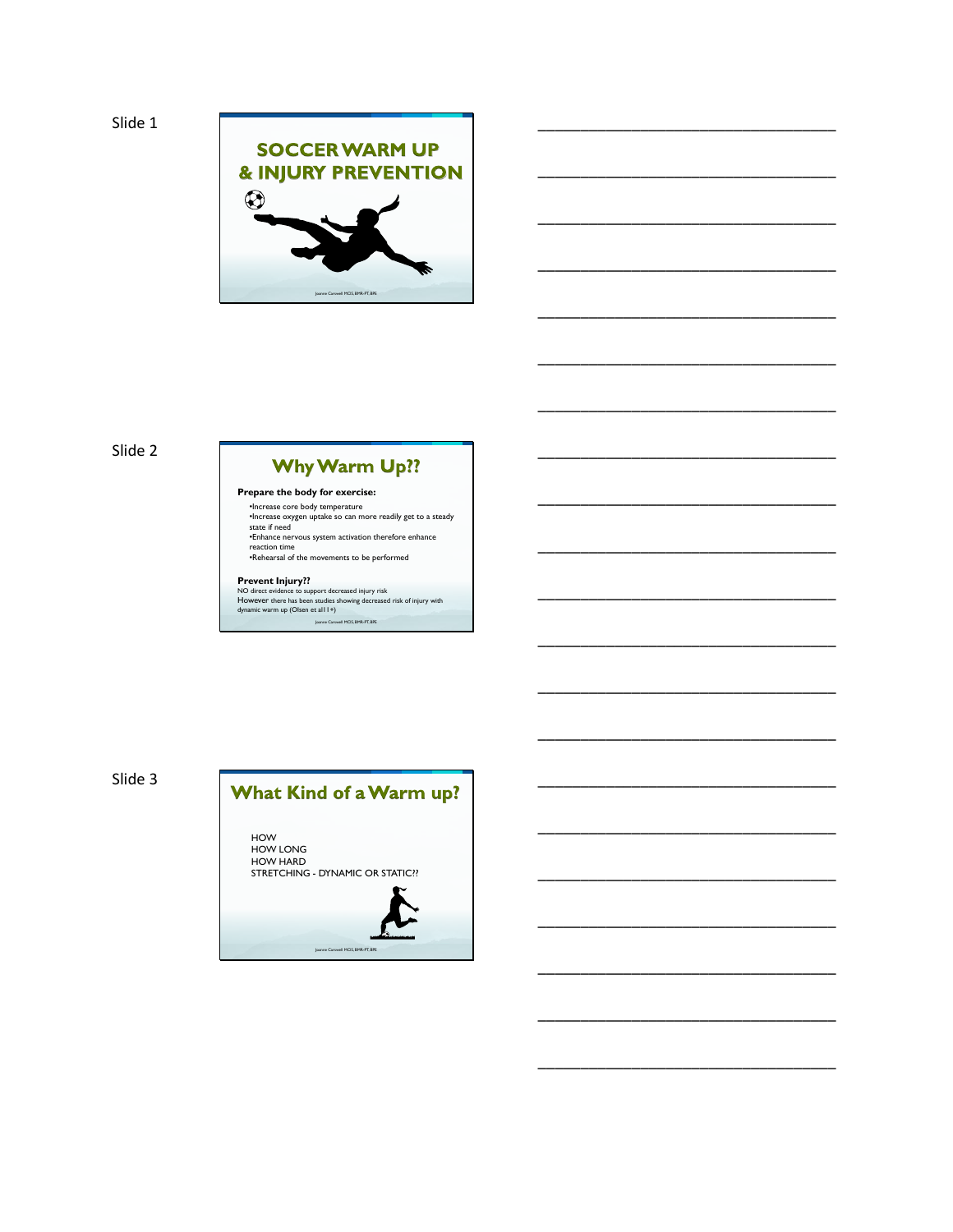

\_\_\_\_\_\_\_\_\_\_\_\_\_\_\_\_\_\_\_\_\_\_\_\_\_\_\_\_\_\_\_\_\_\_\_

\_\_\_\_\_\_\_\_\_\_\_\_\_\_\_\_\_\_\_\_\_\_\_\_\_\_\_\_\_\_\_\_\_\_\_

\_\_\_\_\_\_\_\_\_\_\_\_\_\_\_\_\_\_\_\_\_\_\_\_\_\_\_\_\_\_\_\_\_\_\_

\_\_\_\_\_\_\_\_\_\_\_\_\_\_\_\_\_\_\_\_\_\_\_\_\_\_\_\_\_\_\_\_\_\_\_

\_\_\_\_\_\_\_\_\_\_\_\_\_\_\_\_\_\_\_\_\_\_\_\_\_\_\_\_\_\_\_\_\_\_\_

\_\_\_\_\_\_\_\_\_\_\_\_\_\_\_\_\_\_\_\_\_\_\_\_\_\_\_\_\_\_\_\_\_\_\_

\_\_\_\_\_\_\_\_\_\_\_\_\_\_\_\_\_\_\_\_\_\_\_\_\_\_\_\_\_\_\_\_\_\_\_

\_\_\_\_\_\_\_\_\_\_\_\_\_\_\_\_\_\_\_\_\_\_\_\_\_\_\_\_\_\_\_\_\_\_\_

\_\_\_\_\_\_\_\_\_\_\_\_\_\_\_\_\_\_\_\_\_\_\_\_\_\_\_\_\_\_\_\_\_\_\_

\_\_\_\_\_\_\_\_\_\_\_\_\_\_\_\_\_\_\_\_\_\_\_\_\_\_\_\_\_\_\_\_\_\_\_

\_\_\_\_\_\_\_\_\_\_\_\_\_\_\_\_\_\_\_\_\_\_\_\_\_\_\_\_\_\_\_\_\_\_\_

\_\_\_\_\_\_\_\_\_\_\_\_\_\_\_\_\_\_\_\_\_\_\_\_\_\_\_\_\_\_\_\_\_\_\_

\_\_\_\_\_\_\_\_\_\_\_\_\_\_\_\_\_\_\_\_\_\_\_\_\_\_\_\_\_\_\_\_\_\_\_

\_\_\_\_\_\_\_\_\_\_\_\_\_\_\_\_\_\_\_\_\_\_\_\_\_\_\_\_\_\_\_\_\_\_\_

\_\_\_\_\_\_\_\_\_\_\_\_\_\_\_\_\_\_\_\_\_\_\_\_\_\_\_\_\_\_\_\_\_\_\_

\_\_\_\_\_\_\_\_\_\_\_\_\_\_\_\_\_\_\_\_\_\_\_\_\_\_\_\_\_\_\_\_\_\_\_

\_\_\_\_\_\_\_\_\_\_\_\_\_\_\_\_\_\_\_\_\_\_\_\_\_\_\_\_\_\_\_\_\_\_\_

\_\_\_\_\_\_\_\_\_\_\_\_\_\_\_\_\_\_\_\_\_\_\_\_\_\_\_\_\_\_\_\_\_\_\_

\_\_\_\_\_\_\_\_\_\_\_\_\_\_\_\_\_\_\_\_\_\_\_\_\_\_\_\_\_\_\_\_\_\_\_

\_\_\_\_\_\_\_\_\_\_\_\_\_\_\_\_\_\_\_\_\_\_\_\_\_\_\_\_\_\_\_\_\_\_\_

\_\_\_\_\_\_\_\_\_\_\_\_\_\_\_\_\_\_\_\_\_\_\_\_\_\_\_\_\_\_\_\_\_\_\_

## Slide 2

## **Why Warm Up??**

#### **Prepare the body for exercise:**

•Increase core body temperature •Increase oxygen uptake so can more readily get to a steady state if need •Enhance nervous system activation therefore enhance

reaction time •Rehearsal of the movements to be performed

Prevent Injury??<br>NO direct evidence to support decreased injury risk<br>However there has been studies showing decreased risk of injury with<br>dynamic warm up (Olsen et al11+) Joanne Carswell MClS, BMR-PT, BPE

Slide 3

# What Kind of a Warm up?

HOW HOW LONG HOW HARD STRETCHING - DYNAMIC OR STATIC??

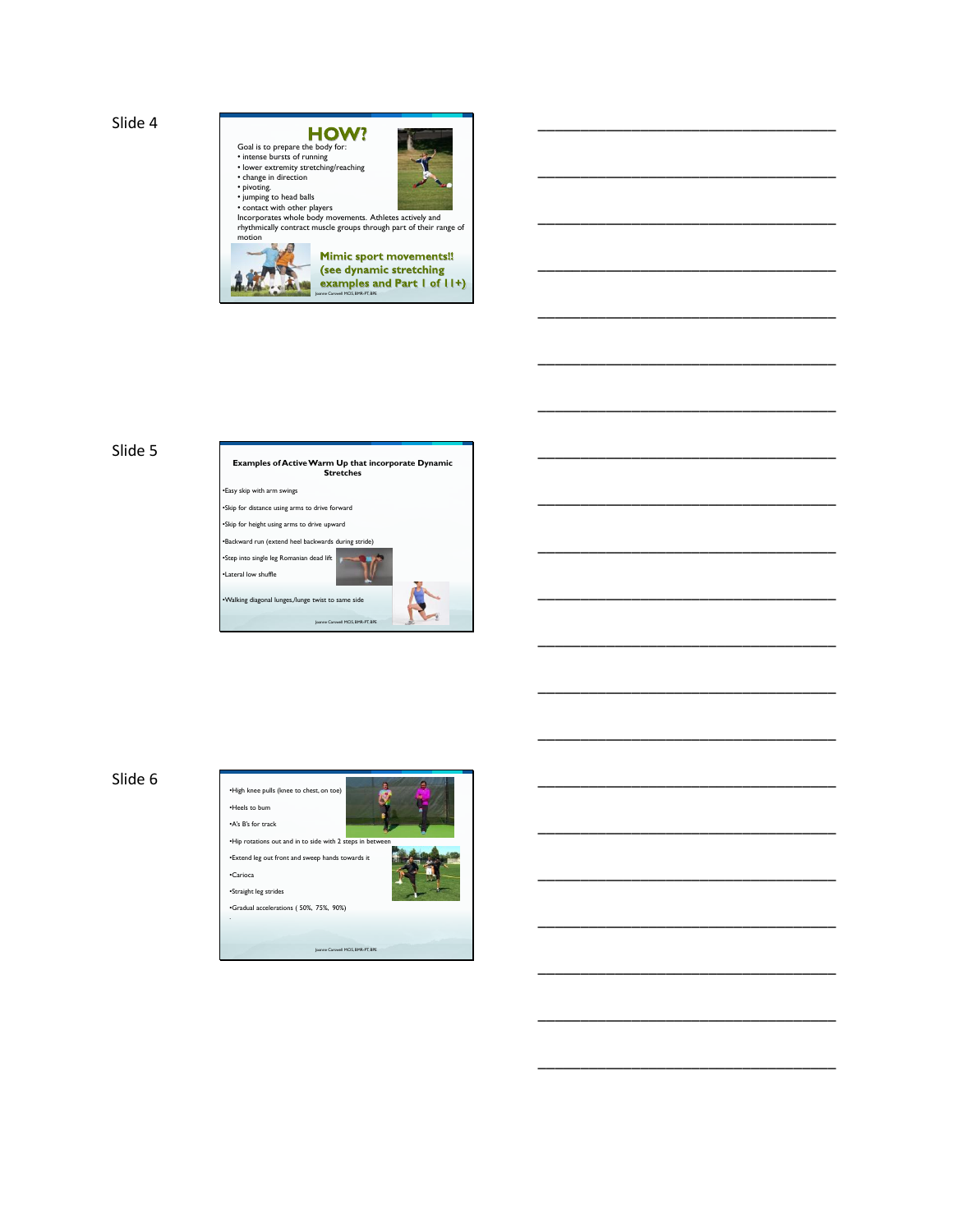

\_\_\_\_\_\_\_\_\_\_\_\_\_\_\_\_\_\_\_\_\_\_\_\_\_\_\_\_\_\_\_\_\_\_\_

\_\_\_\_\_\_\_\_\_\_\_\_\_\_\_\_\_\_\_\_\_\_\_\_\_\_\_\_\_\_\_\_\_\_\_

\_\_\_\_\_\_\_\_\_\_\_\_\_\_\_\_\_\_\_\_\_\_\_\_\_\_\_\_\_\_\_\_\_\_\_

\_\_\_\_\_\_\_\_\_\_\_\_\_\_\_\_\_\_\_\_\_\_\_\_\_\_\_\_\_\_\_\_\_\_\_

\_\_\_\_\_\_\_\_\_\_\_\_\_\_\_\_\_\_\_\_\_\_\_\_\_\_\_\_\_\_\_\_\_\_\_

\_\_\_\_\_\_\_\_\_\_\_\_\_\_\_\_\_\_\_\_\_\_\_\_\_\_\_\_\_\_\_\_\_\_\_

\_\_\_\_\_\_\_\_\_\_\_\_\_\_\_\_\_\_\_\_\_\_\_\_\_\_\_\_\_\_\_\_\_\_\_

\_\_\_\_\_\_\_\_\_\_\_\_\_\_\_\_\_\_\_\_\_\_\_\_\_\_\_\_\_\_\_\_\_\_\_

\_\_\_\_\_\_\_\_\_\_\_\_\_\_\_\_\_\_\_\_\_\_\_\_\_\_\_\_\_\_\_\_\_\_\_

\_\_\_\_\_\_\_\_\_\_\_\_\_\_\_\_\_\_\_\_\_\_\_\_\_\_\_\_\_\_\_\_\_\_\_

\_\_\_\_\_\_\_\_\_\_\_\_\_\_\_\_\_\_\_\_\_\_\_\_\_\_\_\_\_\_\_\_\_\_\_

\_\_\_\_\_\_\_\_\_\_\_\_\_\_\_\_\_\_\_\_\_\_\_\_\_\_\_\_\_\_\_\_\_\_\_

\_\_\_\_\_\_\_\_\_\_\_\_\_\_\_\_\_\_\_\_\_\_\_\_\_\_\_\_\_\_\_\_\_\_\_

\_\_\_\_\_\_\_\_\_\_\_\_\_\_\_\_\_\_\_\_\_\_\_\_\_\_\_\_\_\_\_\_\_\_\_

\_\_\_\_\_\_\_\_\_\_\_\_\_\_\_\_\_\_\_\_\_\_\_\_\_\_\_\_\_\_\_\_\_\_\_

\_\_\_\_\_\_\_\_\_\_\_\_\_\_\_\_\_\_\_\_\_\_\_\_\_\_\_\_\_\_\_\_\_\_\_

\_\_\_\_\_\_\_\_\_\_\_\_\_\_\_\_\_\_\_\_\_\_\_\_\_\_\_\_\_\_\_\_\_\_\_

\_\_\_\_\_\_\_\_\_\_\_\_\_\_\_\_\_\_\_\_\_\_\_\_\_\_\_\_\_\_\_\_\_\_\_

\_\_\_\_\_\_\_\_\_\_\_\_\_\_\_\_\_\_\_\_\_\_\_\_\_\_\_\_\_\_\_\_\_\_\_

\_\_\_\_\_\_\_\_\_\_\_\_\_\_\_\_\_\_\_\_\_\_\_\_\_\_\_\_\_\_\_\_\_\_\_

\_\_\_\_\_\_\_\_\_\_\_\_\_\_\_\_\_\_\_\_\_\_\_\_\_\_\_\_\_\_\_\_\_\_\_

## Slide 5



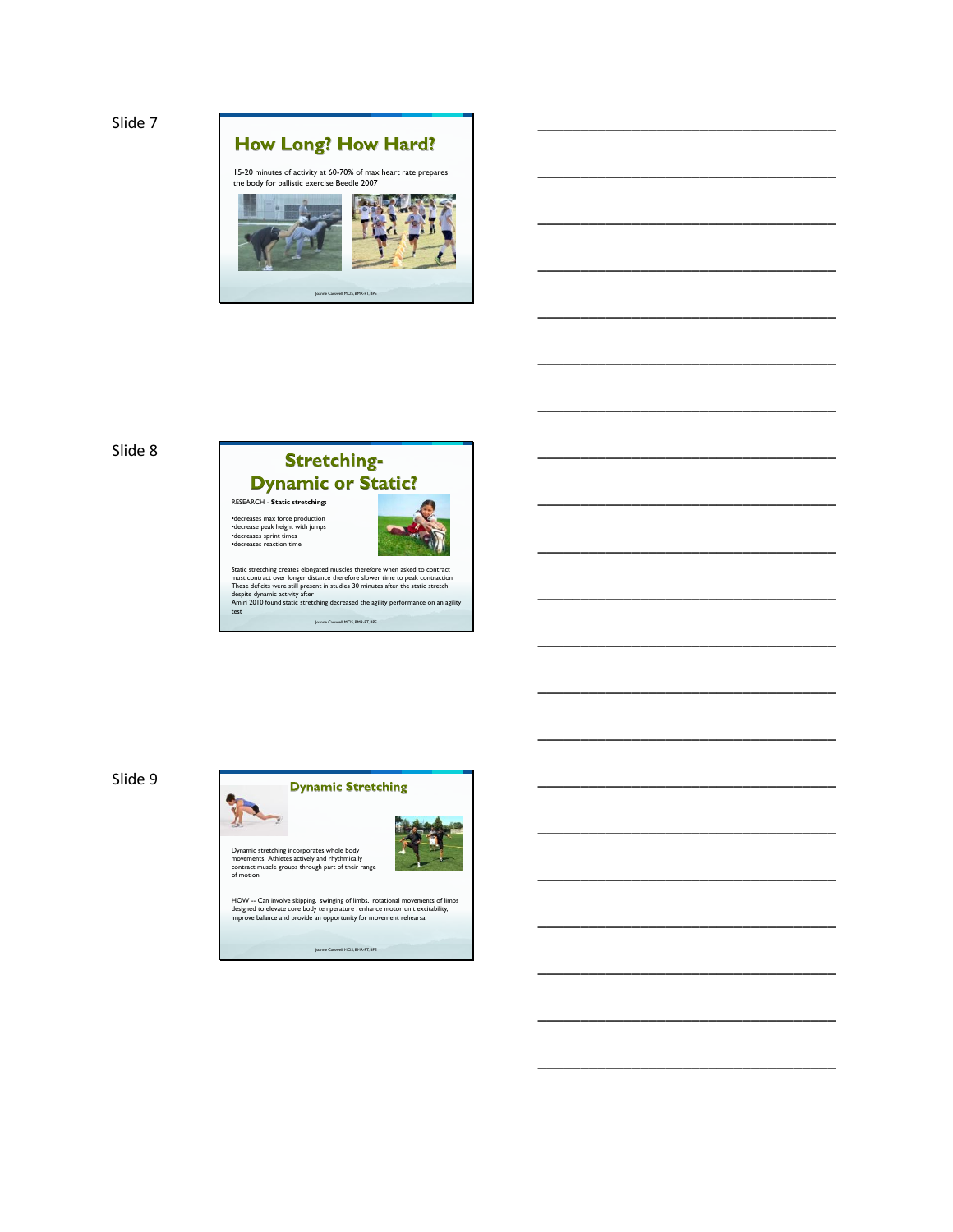



## **Stretching-Dynamic or Static?** RESEARCH - **Static stretching:**

•decreases max force production •decrease peak height with jumps •decreases sprint times •decreases reaction time



\_\_\_\_\_\_\_\_\_\_\_\_\_\_\_\_\_\_\_\_\_\_\_\_\_\_\_\_\_\_\_\_\_\_\_

\_\_\_\_\_\_\_\_\_\_\_\_\_\_\_\_\_\_\_\_\_\_\_\_\_\_\_\_\_\_\_\_\_\_\_

\_\_\_\_\_\_\_\_\_\_\_\_\_\_\_\_\_\_\_\_\_\_\_\_\_\_\_\_\_\_\_\_\_\_\_

\_\_\_\_\_\_\_\_\_\_\_\_\_\_\_\_\_\_\_\_\_\_\_\_\_\_\_\_\_\_\_\_\_\_\_

\_\_\_\_\_\_\_\_\_\_\_\_\_\_\_\_\_\_\_\_\_\_\_\_\_\_\_\_\_\_\_\_\_\_\_

\_\_\_\_\_\_\_\_\_\_\_\_\_\_\_\_\_\_\_\_\_\_\_\_\_\_\_\_\_\_\_\_\_\_\_

\_\_\_\_\_\_\_\_\_\_\_\_\_\_\_\_\_\_\_\_\_\_\_\_\_\_\_\_\_\_\_\_\_\_\_

\_\_\_\_\_\_\_\_\_\_\_\_\_\_\_\_\_\_\_\_\_\_\_\_\_\_\_\_\_\_\_\_\_\_\_

\_\_\_\_\_\_\_\_\_\_\_\_\_\_\_\_\_\_\_\_\_\_\_\_\_\_\_\_\_\_\_\_\_\_\_

\_\_\_\_\_\_\_\_\_\_\_\_\_\_\_\_\_\_\_\_\_\_\_\_\_\_\_\_\_\_\_\_\_\_\_

\_\_\_\_\_\_\_\_\_\_\_\_\_\_\_\_\_\_\_\_\_\_\_\_\_\_\_\_\_\_\_\_\_\_\_

\_\_\_\_\_\_\_\_\_\_\_\_\_\_\_\_\_\_\_\_\_\_\_\_\_\_\_\_\_\_\_\_\_\_\_

\_\_\_\_\_\_\_\_\_\_\_\_\_\_\_\_\_\_\_\_\_\_\_\_\_\_\_\_\_\_\_\_\_\_\_

\_\_\_\_\_\_\_\_\_\_\_\_\_\_\_\_\_\_\_\_\_\_\_\_\_\_\_\_\_\_\_\_\_\_\_

\_\_\_\_\_\_\_\_\_\_\_\_\_\_\_\_\_\_\_\_\_\_\_\_\_\_\_\_\_\_\_\_\_\_\_

\_\_\_\_\_\_\_\_\_\_\_\_\_\_\_\_\_\_\_\_\_\_\_\_\_\_\_\_\_\_\_\_\_\_\_

\_\_\_\_\_\_\_\_\_\_\_\_\_\_\_\_\_\_\_\_\_\_\_\_\_\_\_\_\_\_\_\_\_\_\_

\_\_\_\_\_\_\_\_\_\_\_\_\_\_\_\_\_\_\_\_\_\_\_\_\_\_\_\_\_\_\_\_\_\_\_

\_\_\_\_\_\_\_\_\_\_\_\_\_\_\_\_\_\_\_\_\_\_\_\_\_\_\_\_\_\_\_\_\_\_\_

\_\_\_\_\_\_\_\_\_\_\_\_\_\_\_\_\_\_\_\_\_\_\_\_\_\_\_\_\_\_\_\_\_\_\_

\_\_\_\_\_\_\_\_\_\_\_\_\_\_\_\_\_\_\_\_\_\_\_\_\_\_\_\_\_\_\_\_\_\_\_

Static stretching creates elongated muscles therefore when asked to contract<br>must contract over longer distance therefore slower time to peak contraction<br>These deficits were still present in studies 30 minutes after the st Joanne Carswell MClS, BMR-PT, BPE

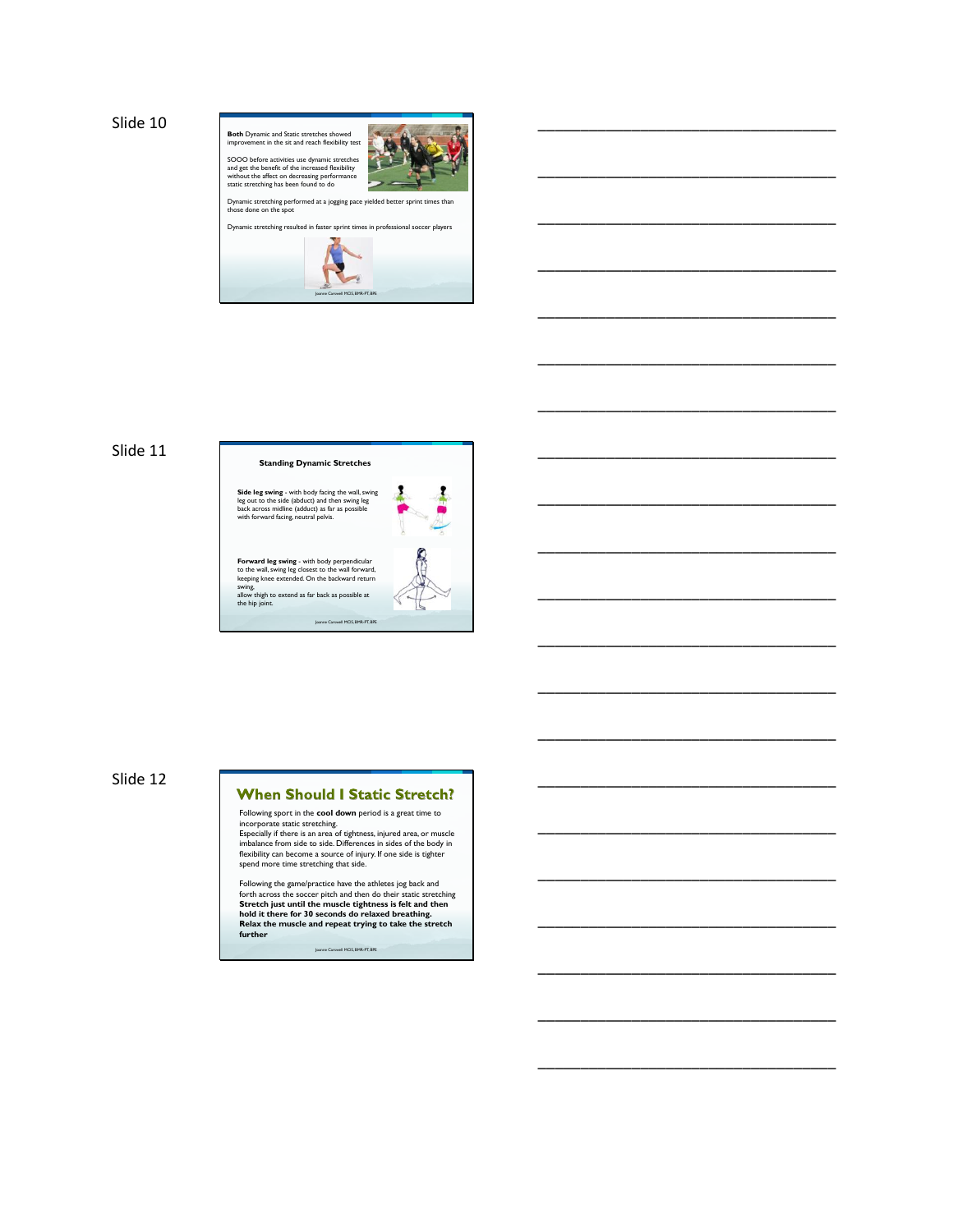

\_\_\_\_\_\_\_\_\_\_\_\_\_\_\_\_\_\_\_\_\_\_\_\_\_\_\_\_\_\_\_\_\_\_\_

\_\_\_\_\_\_\_\_\_\_\_\_\_\_\_\_\_\_\_\_\_\_\_\_\_\_\_\_\_\_\_\_\_\_\_

\_\_\_\_\_\_\_\_\_\_\_\_\_\_\_\_\_\_\_\_\_\_\_\_\_\_\_\_\_\_\_\_\_\_\_

\_\_\_\_\_\_\_\_\_\_\_\_\_\_\_\_\_\_\_\_\_\_\_\_\_\_\_\_\_\_\_\_\_\_\_

\_\_\_\_\_\_\_\_\_\_\_\_\_\_\_\_\_\_\_\_\_\_\_\_\_\_\_\_\_\_\_\_\_\_\_

\_\_\_\_\_\_\_\_\_\_\_\_\_\_\_\_\_\_\_\_\_\_\_\_\_\_\_\_\_\_\_\_\_\_\_

\_\_\_\_\_\_\_\_\_\_\_\_\_\_\_\_\_\_\_\_\_\_\_\_\_\_\_\_\_\_\_\_\_\_\_

\_\_\_\_\_\_\_\_\_\_\_\_\_\_\_\_\_\_\_\_\_\_\_\_\_\_\_\_\_\_\_\_\_\_\_

\_\_\_\_\_\_\_\_\_\_\_\_\_\_\_\_\_\_\_\_\_\_\_\_\_\_\_\_\_\_\_\_\_\_\_

\_\_\_\_\_\_\_\_\_\_\_\_\_\_\_\_\_\_\_\_\_\_\_\_\_\_\_\_\_\_\_\_\_\_\_

\_\_\_\_\_\_\_\_\_\_\_\_\_\_\_\_\_\_\_\_\_\_\_\_\_\_\_\_\_\_\_\_\_\_\_

\_\_\_\_\_\_\_\_\_\_\_\_\_\_\_\_\_\_\_\_\_\_\_\_\_\_\_\_\_\_\_\_\_\_\_

\_\_\_\_\_\_\_\_\_\_\_\_\_\_\_\_\_\_\_\_\_\_\_\_\_\_\_\_\_\_\_\_\_\_\_

\_\_\_\_\_\_\_\_\_\_\_\_\_\_\_\_\_\_\_\_\_\_\_\_\_\_\_\_\_\_\_\_\_\_\_

\_\_\_\_\_\_\_\_\_\_\_\_\_\_\_\_\_\_\_\_\_\_\_\_\_\_\_\_\_\_\_\_\_\_\_

\_\_\_\_\_\_\_\_\_\_\_\_\_\_\_\_\_\_\_\_\_\_\_\_\_\_\_\_\_\_\_\_\_\_\_

\_\_\_\_\_\_\_\_\_\_\_\_\_\_\_\_\_\_\_\_\_\_\_\_\_\_\_\_\_\_\_\_\_\_\_

\_\_\_\_\_\_\_\_\_\_\_\_\_\_\_\_\_\_\_\_\_\_\_\_\_\_\_\_\_\_\_\_\_\_\_

\_\_\_\_\_\_\_\_\_\_\_\_\_\_\_\_\_\_\_\_\_\_\_\_\_\_\_\_\_\_\_\_\_\_\_

\_\_\_\_\_\_\_\_\_\_\_\_\_\_\_\_\_\_\_\_\_\_\_\_\_\_\_\_\_\_\_\_\_\_\_

\_\_\_\_\_\_\_\_\_\_\_\_\_\_\_\_\_\_\_\_\_\_\_\_\_\_\_\_\_\_\_\_\_\_\_

### Slide 11

# **Standing Dynamic Stretches**  J **Side leg swing** - with body facing the wall, swing leg out to the side (abduct) and then swing leg back across midline (adduct) as far as possible with forward facing, neutral pelvis.

1

Joanne Carswell MClS, BMR-PT, BPE

**Forward leg swing** - with body perpendicular<br>to the wall, swing leg closest to the wall forward,<br>keeping knee extended. On the backward return<br>swing,<br>allow thigh to extend as far back as possible at<br>the hip joint.

Slide 12

## **When Should I Static Stretch?**

Following sport in the **cool down** period is a great time to

incorporate static stretching.<br>Especially if there is an area of tightness, injured area, or muscle<br>Imbalance from side to side. Differences in sides of the body in<br>flexibility can become a source of injury. If one side is

Joanne Carswell MClS, BMR-PT, BPE Following the game/practice have the athletes jog back and forth across the soccer pitch and then do their static stretching<br>Stretch just until the muscle tightness is felt and then<br>hold it there for 30 seconds do relaxed breathing.<br>Relax the muscle and repeat trying to take the s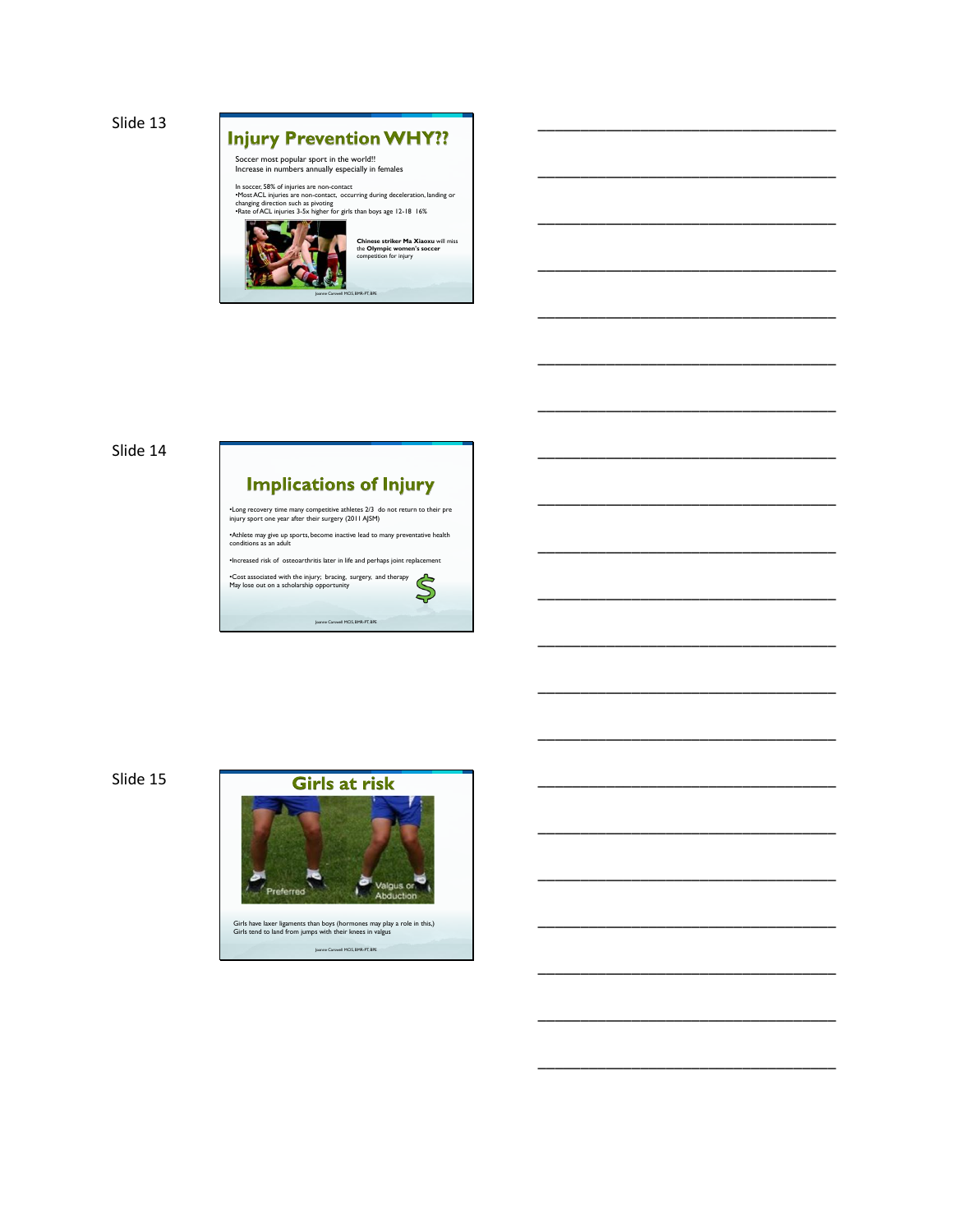



\_\_\_\_\_\_\_\_\_\_\_\_\_\_\_\_\_\_\_\_\_\_\_\_\_\_\_\_\_\_\_\_\_\_\_

\_\_\_\_\_\_\_\_\_\_\_\_\_\_\_\_\_\_\_\_\_\_\_\_\_\_\_\_\_\_\_\_\_\_\_

\_\_\_\_\_\_\_\_\_\_\_\_\_\_\_\_\_\_\_\_\_\_\_\_\_\_\_\_\_\_\_\_\_\_\_

\_\_\_\_\_\_\_\_\_\_\_\_\_\_\_\_\_\_\_\_\_\_\_\_\_\_\_\_\_\_\_\_\_\_\_

\_\_\_\_\_\_\_\_\_\_\_\_\_\_\_\_\_\_\_\_\_\_\_\_\_\_\_\_\_\_\_\_\_\_\_

\_\_\_\_\_\_\_\_\_\_\_\_\_\_\_\_\_\_\_\_\_\_\_\_\_\_\_\_\_\_\_\_\_\_\_

\_\_\_\_\_\_\_\_\_\_\_\_\_\_\_\_\_\_\_\_\_\_\_\_\_\_\_\_\_\_\_\_\_\_\_

\_\_\_\_\_\_\_\_\_\_\_\_\_\_\_\_\_\_\_\_\_\_\_\_\_\_\_\_\_\_\_\_\_\_\_

\_\_\_\_\_\_\_\_\_\_\_\_\_\_\_\_\_\_\_\_\_\_\_\_\_\_\_\_\_\_\_\_\_\_\_

\_\_\_\_\_\_\_\_\_\_\_\_\_\_\_\_\_\_\_\_\_\_\_\_\_\_\_\_\_\_\_\_\_\_\_

\_\_\_\_\_\_\_\_\_\_\_\_\_\_\_\_\_\_\_\_\_\_\_\_\_\_\_\_\_\_\_\_\_\_\_

\_\_\_\_\_\_\_\_\_\_\_\_\_\_\_\_\_\_\_\_\_\_\_\_\_\_\_\_\_\_\_\_\_\_\_

\_\_\_\_\_\_\_\_\_\_\_\_\_\_\_\_\_\_\_\_\_\_\_\_\_\_\_\_\_\_\_\_\_\_\_

\_\_\_\_\_\_\_\_\_\_\_\_\_\_\_\_\_\_\_\_\_\_\_\_\_\_\_\_\_\_\_\_\_\_\_

\_\_\_\_\_\_\_\_\_\_\_\_\_\_\_\_\_\_\_\_\_\_\_\_\_\_\_\_\_\_\_\_\_\_\_

\_\_\_\_\_\_\_\_\_\_\_\_\_\_\_\_\_\_\_\_\_\_\_\_\_\_\_\_\_\_\_\_\_\_\_

\_\_\_\_\_\_\_\_\_\_\_\_\_\_\_\_\_\_\_\_\_\_\_\_\_\_\_\_\_\_\_\_\_\_\_

\_\_\_\_\_\_\_\_\_\_\_\_\_\_\_\_\_\_\_\_\_\_\_\_\_\_\_\_\_\_\_\_\_\_\_

\_\_\_\_\_\_\_\_\_\_\_\_\_\_\_\_\_\_\_\_\_\_\_\_\_\_\_\_\_\_\_\_\_\_\_

\_\_\_\_\_\_\_\_\_\_\_\_\_\_\_\_\_\_\_\_\_\_\_\_\_\_\_\_\_\_\_\_\_\_\_

\_\_\_\_\_\_\_\_\_\_\_\_\_\_\_\_\_\_\_\_\_\_\_\_\_\_\_\_\_\_\_\_\_\_\_

Joanne Carswell MClS, BMR-PT, BPE

Slide 14

## **Implications of Injury**

•Long recovery time many competitive athletes 2/3 do not return to their pre injury sport one year after their surgery (2011 AJSM) •Athlete may give up sports, become inactive lead to many preventative health conditions as an adult •Increased risk of osteoarthritis later in life and perhaps joint replacement •Cost associated with the injury; bracing, surgery, and therapy May lose out on a scholarship opportunity

Joanne Carswell MClS, BMR-PT, BPE

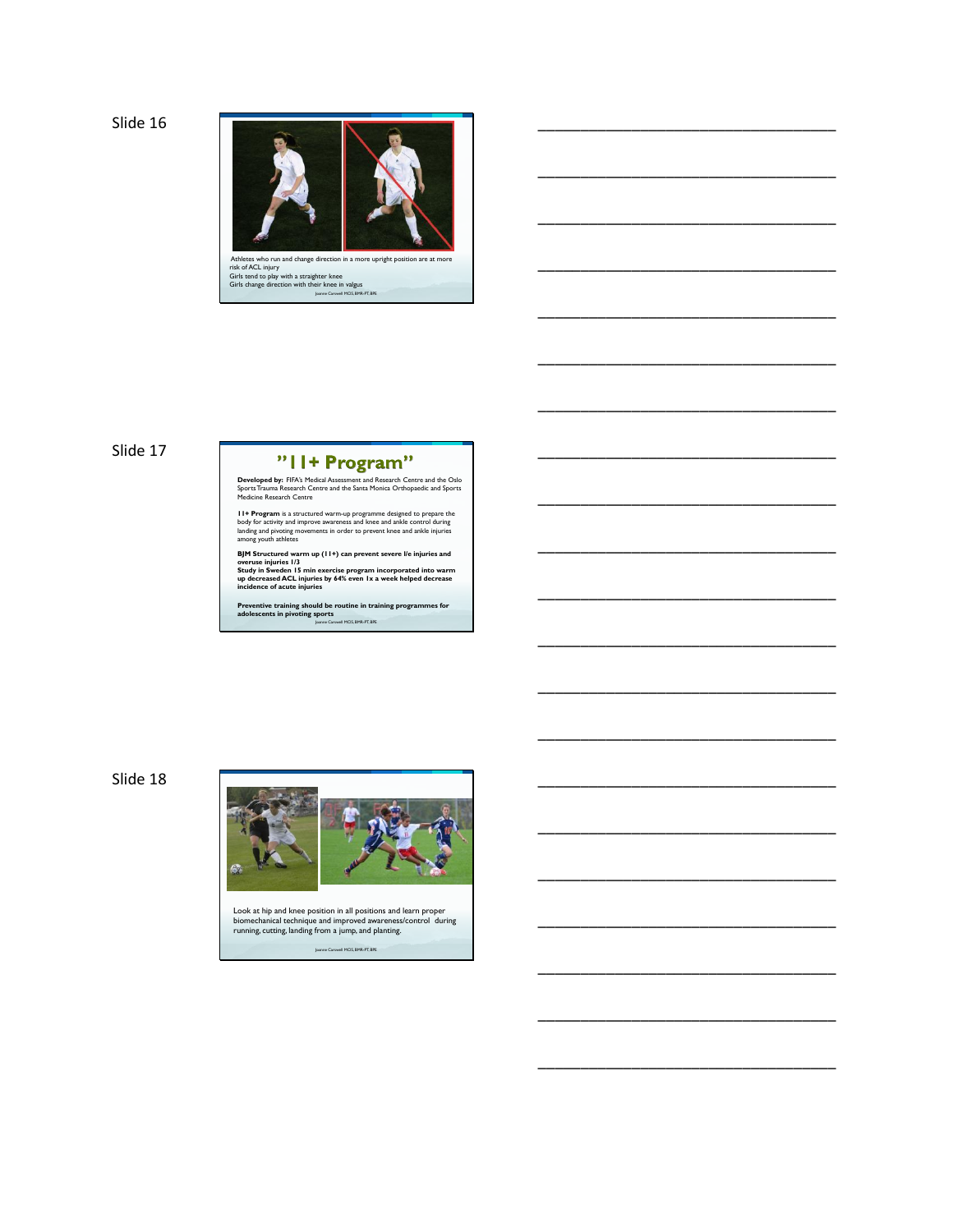

\_\_\_\_\_\_\_\_\_\_\_\_\_\_\_\_\_\_\_\_\_\_\_\_\_\_\_\_\_\_\_\_\_\_\_

\_\_\_\_\_\_\_\_\_\_\_\_\_\_\_\_\_\_\_\_\_\_\_\_\_\_\_\_\_\_\_\_\_\_\_

\_\_\_\_\_\_\_\_\_\_\_\_\_\_\_\_\_\_\_\_\_\_\_\_\_\_\_\_\_\_\_\_\_\_\_

\_\_\_\_\_\_\_\_\_\_\_\_\_\_\_\_\_\_\_\_\_\_\_\_\_\_\_\_\_\_\_\_\_\_\_

\_\_\_\_\_\_\_\_\_\_\_\_\_\_\_\_\_\_\_\_\_\_\_\_\_\_\_\_\_\_\_\_\_\_\_

\_\_\_\_\_\_\_\_\_\_\_\_\_\_\_\_\_\_\_\_\_\_\_\_\_\_\_\_\_\_\_\_\_\_\_

\_\_\_\_\_\_\_\_\_\_\_\_\_\_\_\_\_\_\_\_\_\_\_\_\_\_\_\_\_\_\_\_\_\_\_

\_\_\_\_\_\_\_\_\_\_\_\_\_\_\_\_\_\_\_\_\_\_\_\_\_\_\_\_\_\_\_\_\_\_\_

\_\_\_\_\_\_\_\_\_\_\_\_\_\_\_\_\_\_\_\_\_\_\_\_\_\_\_\_\_\_\_\_\_\_\_

\_\_\_\_\_\_\_\_\_\_\_\_\_\_\_\_\_\_\_\_\_\_\_\_\_\_\_\_\_\_\_\_\_\_\_

\_\_\_\_\_\_\_\_\_\_\_\_\_\_\_\_\_\_\_\_\_\_\_\_\_\_\_\_\_\_\_\_\_\_\_

\_\_\_\_\_\_\_\_\_\_\_\_\_\_\_\_\_\_\_\_\_\_\_\_\_\_\_\_\_\_\_\_\_\_\_

\_\_\_\_\_\_\_\_\_\_\_\_\_\_\_\_\_\_\_\_\_\_\_\_\_\_\_\_\_\_\_\_\_\_\_

\_\_\_\_\_\_\_\_\_\_\_\_\_\_\_\_\_\_\_\_\_\_\_\_\_\_\_\_\_\_\_\_\_\_\_

\_\_\_\_\_\_\_\_\_\_\_\_\_\_\_\_\_\_\_\_\_\_\_\_\_\_\_\_\_\_\_\_\_\_\_

\_\_\_\_\_\_\_\_\_\_\_\_\_\_\_\_\_\_\_\_\_\_\_\_\_\_\_\_\_\_\_\_\_\_\_

\_\_\_\_\_\_\_\_\_\_\_\_\_\_\_\_\_\_\_\_\_\_\_\_\_\_\_\_\_\_\_\_\_\_\_

\_\_\_\_\_\_\_\_\_\_\_\_\_\_\_\_\_\_\_\_\_\_\_\_\_\_\_\_\_\_\_\_\_\_\_

\_\_\_\_\_\_\_\_\_\_\_\_\_\_\_\_\_\_\_\_\_\_\_\_\_\_\_\_\_\_\_\_\_\_\_

\_\_\_\_\_\_\_\_\_\_\_\_\_\_\_\_\_\_\_\_\_\_\_\_\_\_\_\_\_\_\_\_\_\_\_

\_\_\_\_\_\_\_\_\_\_\_\_\_\_\_\_\_\_\_\_\_\_\_\_\_\_\_\_\_\_\_\_\_\_\_

Joanne Carswell MClS, BMR-PT, BPE Athletes who run and change direction in a more upright position are at more<br>risk of ACL injury<br>Girls tend to play with a straighter knee<br>Girls change direction with their knee in valgus

## Slide 17

## "II+ Program"

**Developed by:** FIFA's Medical Assessment and Research Centre and the Oslo<br>Sports Trauma Research Centre and the Santa Monica Orthopaedic and Sports<br>Medicine Research Centre

**11+ Program** is a structured warm-up programme designed to prepare the body for activity and improve awareness and knee and ankle control during tanding and pivoting mements in order to prevent knee and ankle injuries amo

BJM Structured warm up (11+) can prevent severe I/e injuries and<br>Study in Sweden 15 min exercise program incorporated into warm<br>Study in Sweden 15 min exercise program incorporated into warm<br>up decreased ACL injuries<br>incid

Joanne Carswell MClS, BMR-PT, BPE **Preventive training should be routine in training programmes for adolescents in pivoting sports**

Slide 18



Joanne Carswell MClS, BMR-PT, BPE Look at hip and knee position in all positions and learn proper biomechanical technique and improved awareness/control during running, cutting, landing from a jump, and planting.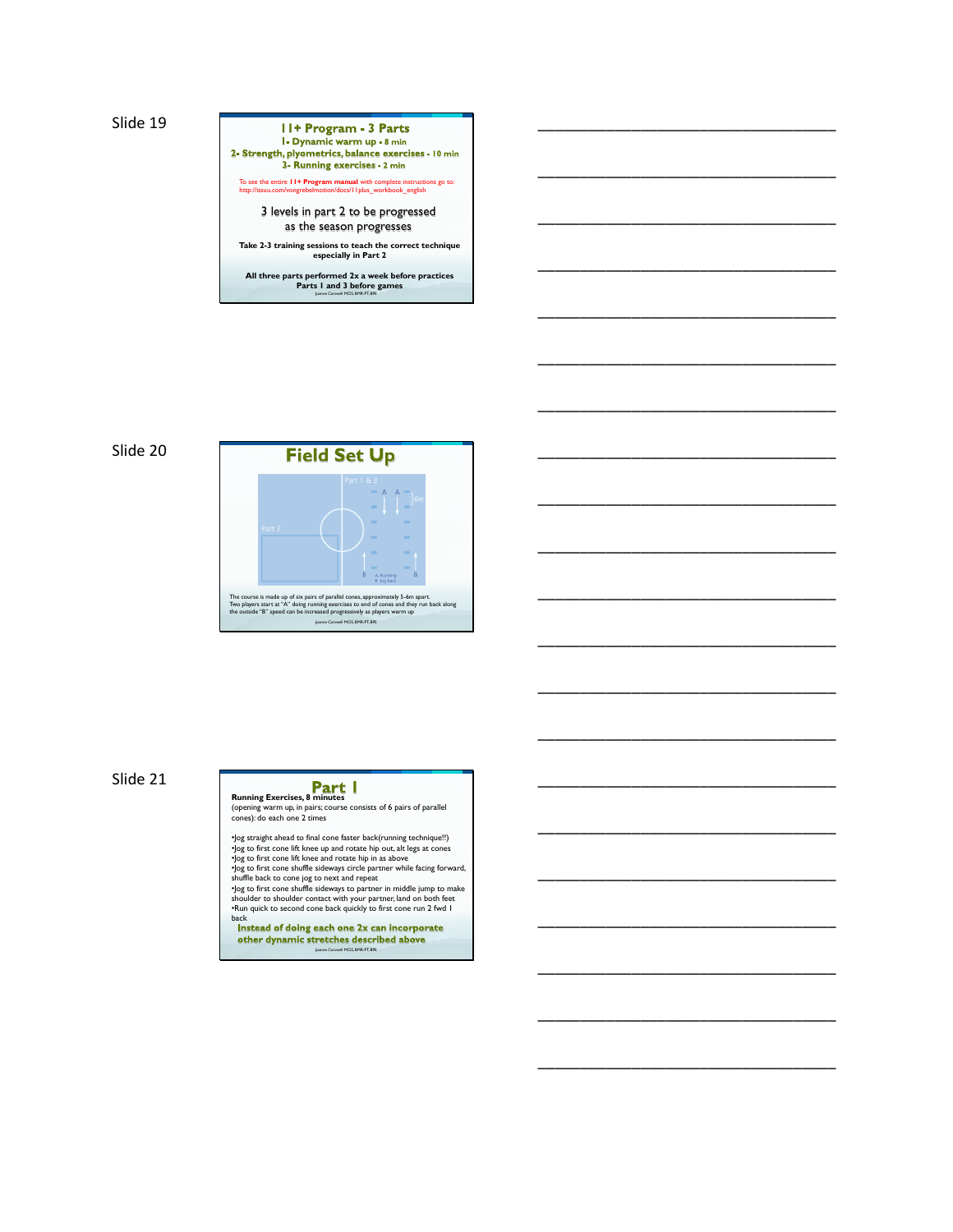## 11+ Program - 3 Parts 1. Dynamic warm up - 8 min<br>2- Strength, plyometrics, balance exercises - 10 min<br>3- Running exercises - 2 min To see the entire **11+ Program manual** with complete instructions go to: http://issuu.com/vongrebelmotion/docs/11plus\_workbook\_english 3 levels in part 2 to be progressed as the season progresses **Take 2-3 training sessions to teach the correct technique especially in Part 2 All three parts performed 2x a week before practices Parts 1 and 3 before games** Joanne Carswell MClS, BMR-PT, BPE

\_\_\_\_\_\_\_\_\_\_\_\_\_\_\_\_\_\_\_\_\_\_\_\_\_\_\_\_\_\_\_\_\_\_\_

\_\_\_\_\_\_\_\_\_\_\_\_\_\_\_\_\_\_\_\_\_\_\_\_\_\_\_\_\_\_\_\_\_\_\_

\_\_\_\_\_\_\_\_\_\_\_\_\_\_\_\_\_\_\_\_\_\_\_\_\_\_\_\_\_\_\_\_\_\_\_

\_\_\_\_\_\_\_\_\_\_\_\_\_\_\_\_\_\_\_\_\_\_\_\_\_\_\_\_\_\_\_\_\_\_\_

\_\_\_\_\_\_\_\_\_\_\_\_\_\_\_\_\_\_\_\_\_\_\_\_\_\_\_\_\_\_\_\_\_\_\_

\_\_\_\_\_\_\_\_\_\_\_\_\_\_\_\_\_\_\_\_\_\_\_\_\_\_\_\_\_\_\_\_\_\_\_

\_\_\_\_\_\_\_\_\_\_\_\_\_\_\_\_\_\_\_\_\_\_\_\_\_\_\_\_\_\_\_\_\_\_\_

\_\_\_\_\_\_\_\_\_\_\_\_\_\_\_\_\_\_\_\_\_\_\_\_\_\_\_\_\_\_\_\_\_\_\_

\_\_\_\_\_\_\_\_\_\_\_\_\_\_\_\_\_\_\_\_\_\_\_\_\_\_\_\_\_\_\_\_\_\_\_

\_\_\_\_\_\_\_\_\_\_\_\_\_\_\_\_\_\_\_\_\_\_\_\_\_\_\_\_\_\_\_\_\_\_\_

\_\_\_\_\_\_\_\_\_\_\_\_\_\_\_\_\_\_\_\_\_\_\_\_\_\_\_\_\_\_\_\_\_\_\_

\_\_\_\_\_\_\_\_\_\_\_\_\_\_\_\_\_\_\_\_\_\_\_\_\_\_\_\_\_\_\_\_\_\_\_

\_\_\_\_\_\_\_\_\_\_\_\_\_\_\_\_\_\_\_\_\_\_\_\_\_\_\_\_\_\_\_\_\_\_\_

\_\_\_\_\_\_\_\_\_\_\_\_\_\_\_\_\_\_\_\_\_\_\_\_\_\_\_\_\_\_\_\_\_\_\_

\_\_\_\_\_\_\_\_\_\_\_\_\_\_\_\_\_\_\_\_\_\_\_\_\_\_\_\_\_\_\_\_\_\_\_

\_\_\_\_\_\_\_\_\_\_\_\_\_\_\_\_\_\_\_\_\_\_\_\_\_\_\_\_\_\_\_\_\_\_\_

\_\_\_\_\_\_\_\_\_\_\_\_\_\_\_\_\_\_\_\_\_\_\_\_\_\_\_\_\_\_\_\_\_\_\_

\_\_\_\_\_\_\_\_\_\_\_\_\_\_\_\_\_\_\_\_\_\_\_\_\_\_\_\_\_\_\_\_\_\_\_

\_\_\_\_\_\_\_\_\_\_\_\_\_\_\_\_\_\_\_\_\_\_\_\_\_\_\_\_\_\_\_\_\_\_\_

\_\_\_\_\_\_\_\_\_\_\_\_\_\_\_\_\_\_\_\_\_\_\_\_\_\_\_\_\_\_\_\_\_\_\_

\_\_\_\_\_\_\_\_\_\_\_\_\_\_\_\_\_\_\_\_\_\_\_\_\_\_\_\_\_\_\_\_\_\_\_





Slide 21

# **Running Exercises, 8 minutes**

(opening warm up, in pairs; course consists of 6 pairs of parallel cones): do each one 2 times

- 
- 
- -log straight ahead to final cone faster back(running technique!!)<br>  $\log$  to first cone lift knee up and rotate hip in as above<br>  $\log$  to first cone lift knee and rotate hip in as above<br>  $\log$  to first cone shuffle sideways
- back<br>Instead of doing each one 2x can incorporate<br>Instead of doing each one 2x can incorporate other dynamic stretches described above Joanne Carswell MClS, BMR-PT, BPE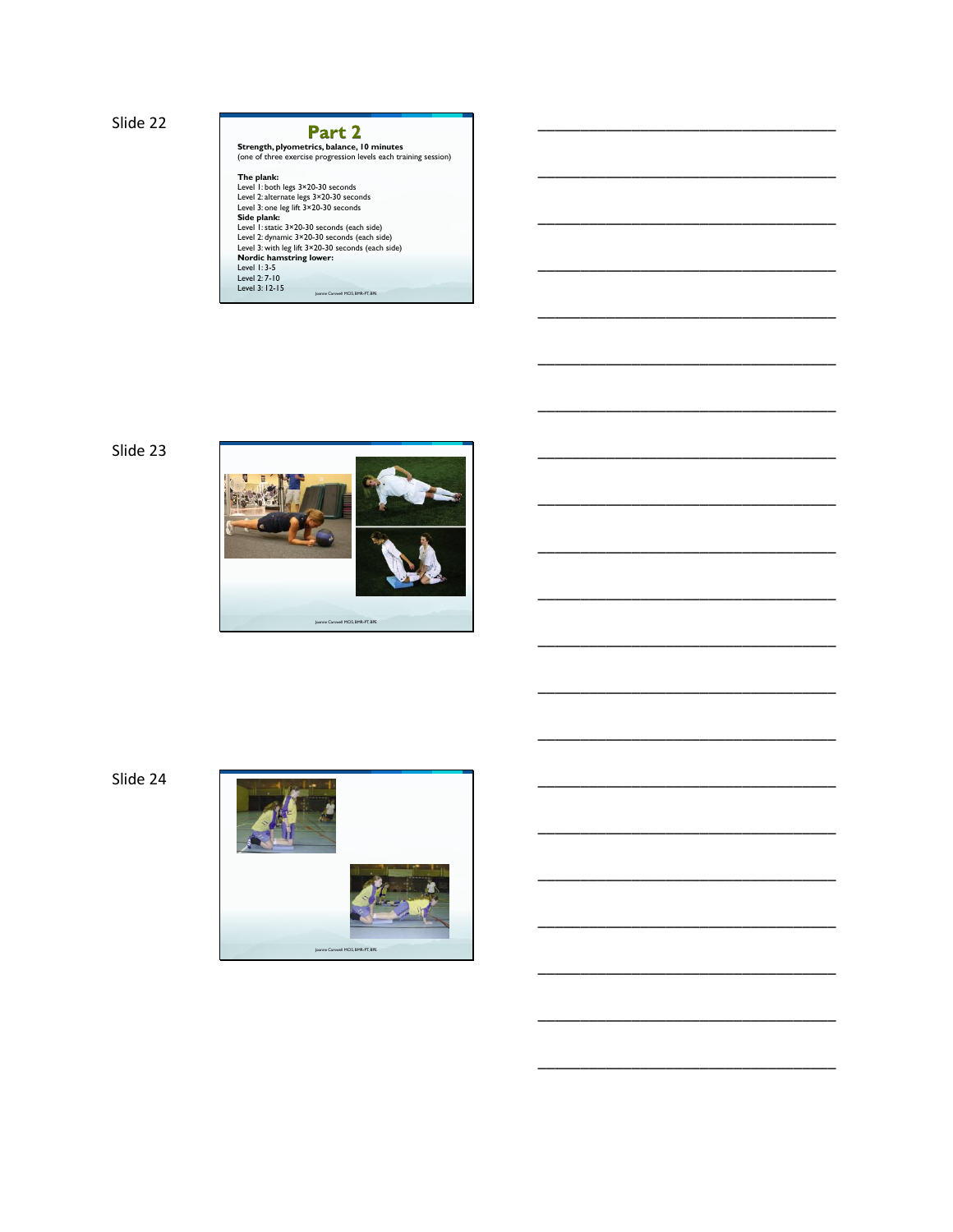| Part 2                                                           |  |
|------------------------------------------------------------------|--|
| Strength, plyometrics, balance, 10 minutes                       |  |
| (one of three exercise progression levels each training session) |  |
| The plank:                                                       |  |
| Level 1: both legs 3×20-30 seconds                               |  |
| Level 2: alternate legs 3×20-30 seconds                          |  |
| Level 3: one leg lift 3×20-30 seconds                            |  |
| Side plank:                                                      |  |
| Level 1: static 3×20-30 seconds (each side)                      |  |
| Level 2: dynamic 3×20-30 seconds (each side)                     |  |
| Level 3: with leg lift 3×20-30 seconds (each side)               |  |
| Nordic hamstring lower:                                          |  |
| Level $1:3-5$                                                    |  |
| Level 2: 7-10                                                    |  |
| Level 3: 12-15                                                   |  |
| Joanne Carswell MCIS, BMR-PT, BPE                                |  |

\_\_\_\_\_\_\_\_\_\_\_\_\_\_\_\_\_\_\_\_\_\_\_\_\_\_\_\_\_\_\_\_\_\_\_

\_\_\_\_\_\_\_\_\_\_\_\_\_\_\_\_\_\_\_\_\_\_\_\_\_\_\_\_\_\_\_\_\_\_\_

\_\_\_\_\_\_\_\_\_\_\_\_\_\_\_\_\_\_\_\_\_\_\_\_\_\_\_\_\_\_\_\_\_\_\_

\_\_\_\_\_\_\_\_\_\_\_\_\_\_\_\_\_\_\_\_\_\_\_\_\_\_\_\_\_\_\_\_\_\_\_

\_\_\_\_\_\_\_\_\_\_\_\_\_\_\_\_\_\_\_\_\_\_\_\_\_\_\_\_\_\_\_\_\_\_\_

\_\_\_\_\_\_\_\_\_\_\_\_\_\_\_\_\_\_\_\_\_\_\_\_\_\_\_\_\_\_\_\_\_\_\_

\_\_\_\_\_\_\_\_\_\_\_\_\_\_\_\_\_\_\_\_\_\_\_\_\_\_\_\_\_\_\_\_\_\_\_

\_\_\_\_\_\_\_\_\_\_\_\_\_\_\_\_\_\_\_\_\_\_\_\_\_\_\_\_\_\_\_\_\_\_\_

\_\_\_\_\_\_\_\_\_\_\_\_\_\_\_\_\_\_\_\_\_\_\_\_\_\_\_\_\_\_\_\_\_\_\_

\_\_\_\_\_\_\_\_\_\_\_\_\_\_\_\_\_\_\_\_\_\_\_\_\_\_\_\_\_\_\_\_\_\_\_

\_\_\_\_\_\_\_\_\_\_\_\_\_\_\_\_\_\_\_\_\_\_\_\_\_\_\_\_\_\_\_\_\_\_\_

\_\_\_\_\_\_\_\_\_\_\_\_\_\_\_\_\_\_\_\_\_\_\_\_\_\_\_\_\_\_\_\_\_\_\_

\_\_\_\_\_\_\_\_\_\_\_\_\_\_\_\_\_\_\_\_\_\_\_\_\_\_\_\_\_\_\_\_\_\_\_

\_\_\_\_\_\_\_\_\_\_\_\_\_\_\_\_\_\_\_\_\_\_\_\_\_\_\_\_\_\_\_\_\_\_\_

\_\_\_\_\_\_\_\_\_\_\_\_\_\_\_\_\_\_\_\_\_\_\_\_\_\_\_\_\_\_\_\_\_\_\_

\_\_\_\_\_\_\_\_\_\_\_\_\_\_\_\_\_\_\_\_\_\_\_\_\_\_\_\_\_\_\_\_\_\_\_

\_\_\_\_\_\_\_\_\_\_\_\_\_\_\_\_\_\_\_\_\_\_\_\_\_\_\_\_\_\_\_\_\_\_\_

\_\_\_\_\_\_\_\_\_\_\_\_\_\_\_\_\_\_\_\_\_\_\_\_\_\_\_\_\_\_\_\_\_\_\_

\_\_\_\_\_\_\_\_\_\_\_\_\_\_\_\_\_\_\_\_\_\_\_\_\_\_\_\_\_\_\_\_\_\_\_

\_\_\_\_\_\_\_\_\_\_\_\_\_\_\_\_\_\_\_\_\_\_\_\_\_\_\_\_\_\_\_\_\_\_\_

\_\_\_\_\_\_\_\_\_\_\_\_\_\_\_\_\_\_\_\_\_\_\_\_\_\_\_\_\_\_\_\_\_\_\_





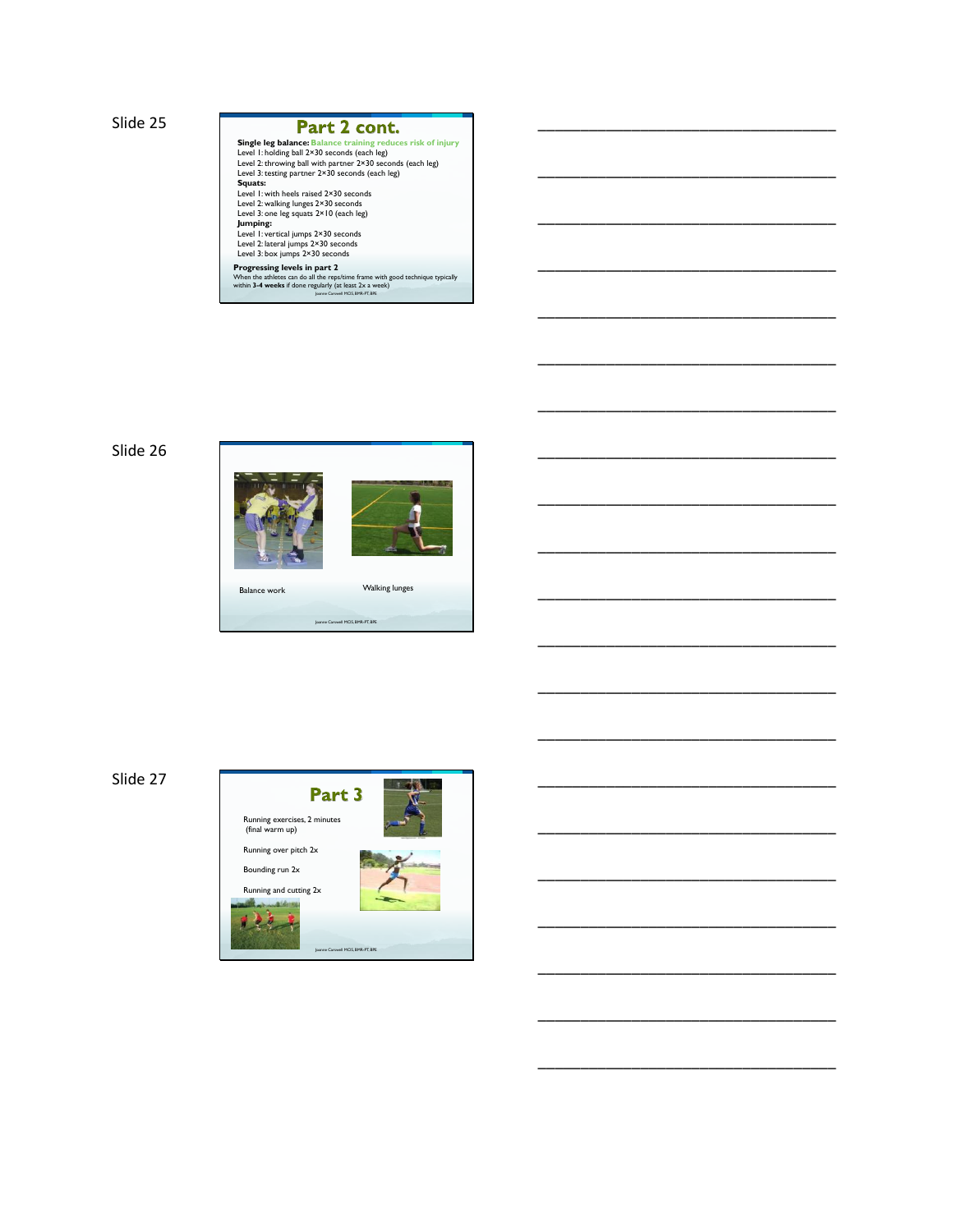#### Part 2 cont.

**Single leg balance: Balance training reduces risk of injury<br>Level 1: holding ball 2×30 seconds (each leg)<br>Level 2: throwing ball with partner 2×30 seconds (each leg)<br>Level 3: testing partner 2×30 seconds (each leg) Squats:**<br>Level 1: with heels raised 2×30 seconds<br>Level 2: walking lunges 2×30 seconds<br>Level 3: one leg squats 2×10 (each leg)<br>**Jumping:**<br>Level 1: tateral jumps 2×30 seconds<br>Level 3: tateral jumps 2×30 seconds<br>Level 3: tat

\_\_\_\_\_\_\_\_\_\_\_\_\_\_\_\_\_\_\_\_\_\_\_\_\_\_\_\_\_\_\_\_\_\_\_

\_\_\_\_\_\_\_\_\_\_\_\_\_\_\_\_\_\_\_\_\_\_\_\_\_\_\_\_\_\_\_\_\_\_\_

\_\_\_\_\_\_\_\_\_\_\_\_\_\_\_\_\_\_\_\_\_\_\_\_\_\_\_\_\_\_\_\_\_\_\_

\_\_\_\_\_\_\_\_\_\_\_\_\_\_\_\_\_\_\_\_\_\_\_\_\_\_\_\_\_\_\_\_\_\_\_

\_\_\_\_\_\_\_\_\_\_\_\_\_\_\_\_\_\_\_\_\_\_\_\_\_\_\_\_\_\_\_\_\_\_\_

\_\_\_\_\_\_\_\_\_\_\_\_\_\_\_\_\_\_\_\_\_\_\_\_\_\_\_\_\_\_\_\_\_\_\_

\_\_\_\_\_\_\_\_\_\_\_\_\_\_\_\_\_\_\_\_\_\_\_\_\_\_\_\_\_\_\_\_\_\_\_

\_\_\_\_\_\_\_\_\_\_\_\_\_\_\_\_\_\_\_\_\_\_\_\_\_\_\_\_\_\_\_\_\_\_\_

\_\_\_\_\_\_\_\_\_\_\_\_\_\_\_\_\_\_\_\_\_\_\_\_\_\_\_\_\_\_\_\_\_\_\_

\_\_\_\_\_\_\_\_\_\_\_\_\_\_\_\_\_\_\_\_\_\_\_\_\_\_\_\_\_\_\_\_\_\_\_

\_\_\_\_\_\_\_\_\_\_\_\_\_\_\_\_\_\_\_\_\_\_\_\_\_\_\_\_\_\_\_\_\_\_\_

\_\_\_\_\_\_\_\_\_\_\_\_\_\_\_\_\_\_\_\_\_\_\_\_\_\_\_\_\_\_\_\_\_\_\_

\_\_\_\_\_\_\_\_\_\_\_\_\_\_\_\_\_\_\_\_\_\_\_\_\_\_\_\_\_\_\_\_\_\_\_

\_\_\_\_\_\_\_\_\_\_\_\_\_\_\_\_\_\_\_\_\_\_\_\_\_\_\_\_\_\_\_\_\_\_\_

\_\_\_\_\_\_\_\_\_\_\_\_\_\_\_\_\_\_\_\_\_\_\_\_\_\_\_\_\_\_\_\_\_\_\_

\_\_\_\_\_\_\_\_\_\_\_\_\_\_\_\_\_\_\_\_\_\_\_\_\_\_\_\_\_\_\_\_\_\_\_

\_\_\_\_\_\_\_\_\_\_\_\_\_\_\_\_\_\_\_\_\_\_\_\_\_\_\_\_\_\_\_\_\_\_\_

\_\_\_\_\_\_\_\_\_\_\_\_\_\_\_\_\_\_\_\_\_\_\_\_\_\_\_\_\_\_\_\_\_\_\_

\_\_\_\_\_\_\_\_\_\_\_\_\_\_\_\_\_\_\_\_\_\_\_\_\_\_\_\_\_\_\_\_\_\_\_

\_\_\_\_\_\_\_\_\_\_\_\_\_\_\_\_\_\_\_\_\_\_\_\_\_\_\_\_\_\_\_\_\_\_\_

\_\_\_\_\_\_\_\_\_\_\_\_\_\_\_\_\_\_\_\_\_\_\_\_\_\_\_\_\_\_\_\_\_\_\_

Joanne Carswell MClS, BMR-PT, BPE **Progressing levels in part 2**<br>When the athletes can do all the reps/time frame with good technique typically<br>within **3-4 weeks** if done regularly (at least 2x a week)

## Slide 26



Joanne Carswell MClS, BMR-PT, BPE



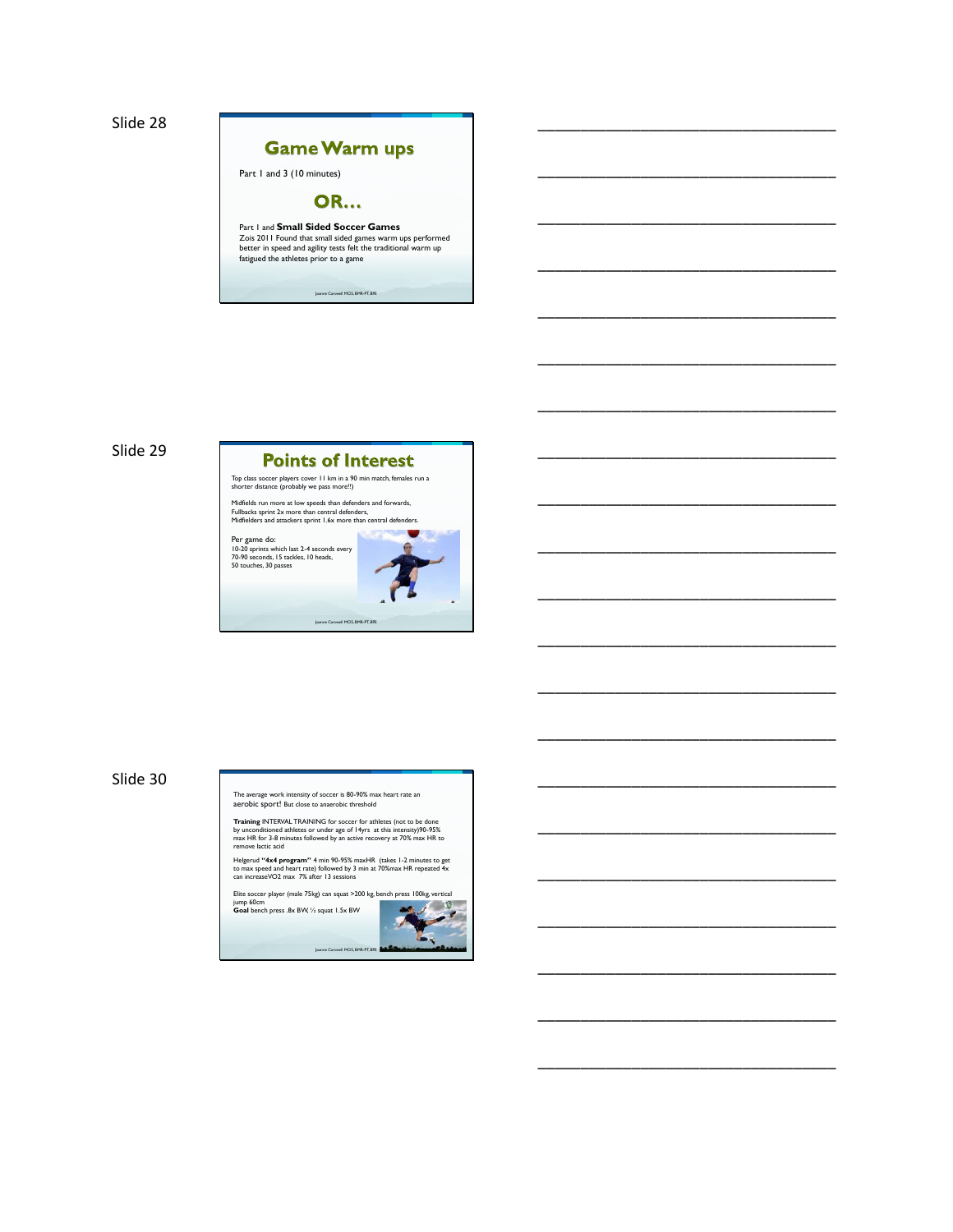

# **Game Warm ups** Part 1 and 3 (10 minutes) **OR...** Part 1 and **Small Sided Soccer Games** Zois 2011 Found that small sided games warm ups performed better in speed and agility tests felt the traditional warm up fatigued the athletes prior to a game Joanne Carswell MClS, BMR-PT, BPE

\_\_\_\_\_\_\_\_\_\_\_\_\_\_\_\_\_\_\_\_\_\_\_\_\_\_\_\_\_\_\_\_\_\_\_

\_\_\_\_\_\_\_\_\_\_\_\_\_\_\_\_\_\_\_\_\_\_\_\_\_\_\_\_\_\_\_\_\_\_\_

\_\_\_\_\_\_\_\_\_\_\_\_\_\_\_\_\_\_\_\_\_\_\_\_\_\_\_\_\_\_\_\_\_\_\_

\_\_\_\_\_\_\_\_\_\_\_\_\_\_\_\_\_\_\_\_\_\_\_\_\_\_\_\_\_\_\_\_\_\_\_

\_\_\_\_\_\_\_\_\_\_\_\_\_\_\_\_\_\_\_\_\_\_\_\_\_\_\_\_\_\_\_\_\_\_\_

\_\_\_\_\_\_\_\_\_\_\_\_\_\_\_\_\_\_\_\_\_\_\_\_\_\_\_\_\_\_\_\_\_\_\_

\_\_\_\_\_\_\_\_\_\_\_\_\_\_\_\_\_\_\_\_\_\_\_\_\_\_\_\_\_\_\_\_\_\_\_

\_\_\_\_\_\_\_\_\_\_\_\_\_\_\_\_\_\_\_\_\_\_\_\_\_\_\_\_\_\_\_\_\_\_\_

\_\_\_\_\_\_\_\_\_\_\_\_\_\_\_\_\_\_\_\_\_\_\_\_\_\_\_\_\_\_\_\_\_\_\_

\_\_\_\_\_\_\_\_\_\_\_\_\_\_\_\_\_\_\_\_\_\_\_\_\_\_\_\_\_\_\_\_\_\_\_

\_\_\_\_\_\_\_\_\_\_\_\_\_\_\_\_\_\_\_\_\_\_\_\_\_\_\_\_\_\_\_\_\_\_\_

\_\_\_\_\_\_\_\_\_\_\_\_\_\_\_\_\_\_\_\_\_\_\_\_\_\_\_\_\_\_\_\_\_\_\_

\_\_\_\_\_\_\_\_\_\_\_\_\_\_\_\_\_\_\_\_\_\_\_\_\_\_\_\_\_\_\_\_\_\_\_

\_\_\_\_\_\_\_\_\_\_\_\_\_\_\_\_\_\_\_\_\_\_\_\_\_\_\_\_\_\_\_\_\_\_\_

\_\_\_\_\_\_\_\_\_\_\_\_\_\_\_\_\_\_\_\_\_\_\_\_\_\_\_\_\_\_\_\_\_\_\_

\_\_\_\_\_\_\_\_\_\_\_\_\_\_\_\_\_\_\_\_\_\_\_\_\_\_\_\_\_\_\_\_\_\_\_

\_\_\_\_\_\_\_\_\_\_\_\_\_\_\_\_\_\_\_\_\_\_\_\_\_\_\_\_\_\_\_\_\_\_\_

\_\_\_\_\_\_\_\_\_\_\_\_\_\_\_\_\_\_\_\_\_\_\_\_\_\_\_\_\_\_\_\_\_\_\_

\_\_\_\_\_\_\_\_\_\_\_\_\_\_\_\_\_\_\_\_\_\_\_\_\_\_\_\_\_\_\_\_\_\_\_

\_\_\_\_\_\_\_\_\_\_\_\_\_\_\_\_\_\_\_\_\_\_\_\_\_\_\_\_\_\_\_\_\_\_\_

\_\_\_\_\_\_\_\_\_\_\_\_\_\_\_\_\_\_\_\_\_\_\_\_\_\_\_\_\_\_\_\_\_\_\_

## Slide 29

## **Points of Interest**

Top class soccer players cover 11 km in a 90 min match, females run a shorter distance (probably we pass more!!)

Midfields run more at low speeds than defenders and forwards, Fullbacks sprint 2x more than central defenders, Midfielders and attackers sprint 1.6x more than central defenders.

Joanne Carswell MCIS, BMR-PT, BP

Per game do: 10-20 sprints which last 2-4 seconds every 70-90 seconds, 15 tackles, 10 heads, 50 touches, 30 passes

## Slide 30

The average work intensity of soccer is 80-90% max heart rate an aerobic sport! But close to anaerobic threshold

**Training** INTERVAL TRAINING for soccer for athletes (not to be done<br>by unconditioned athletes or under age of 14yrs at this intensity)90-95%<br>max HR for 3-8 minutes followed by an active recovery at 70% max HR to<br>remove la

Helgerud **"4x4 program" 4** min 90-95% maxHR (takes 1-2 minutes to get<br>to max speed and heart rate) followed by 3 min at 70%max HR repeated 4x<br>can increaseVO2 max 7% after 13 sessions

Elite soccer player (male 75kg) can squat >200 kg, bench press 100kg, vertical jump 60cm **Goal** bench press .8x BW, ½ squat 1.5x BW

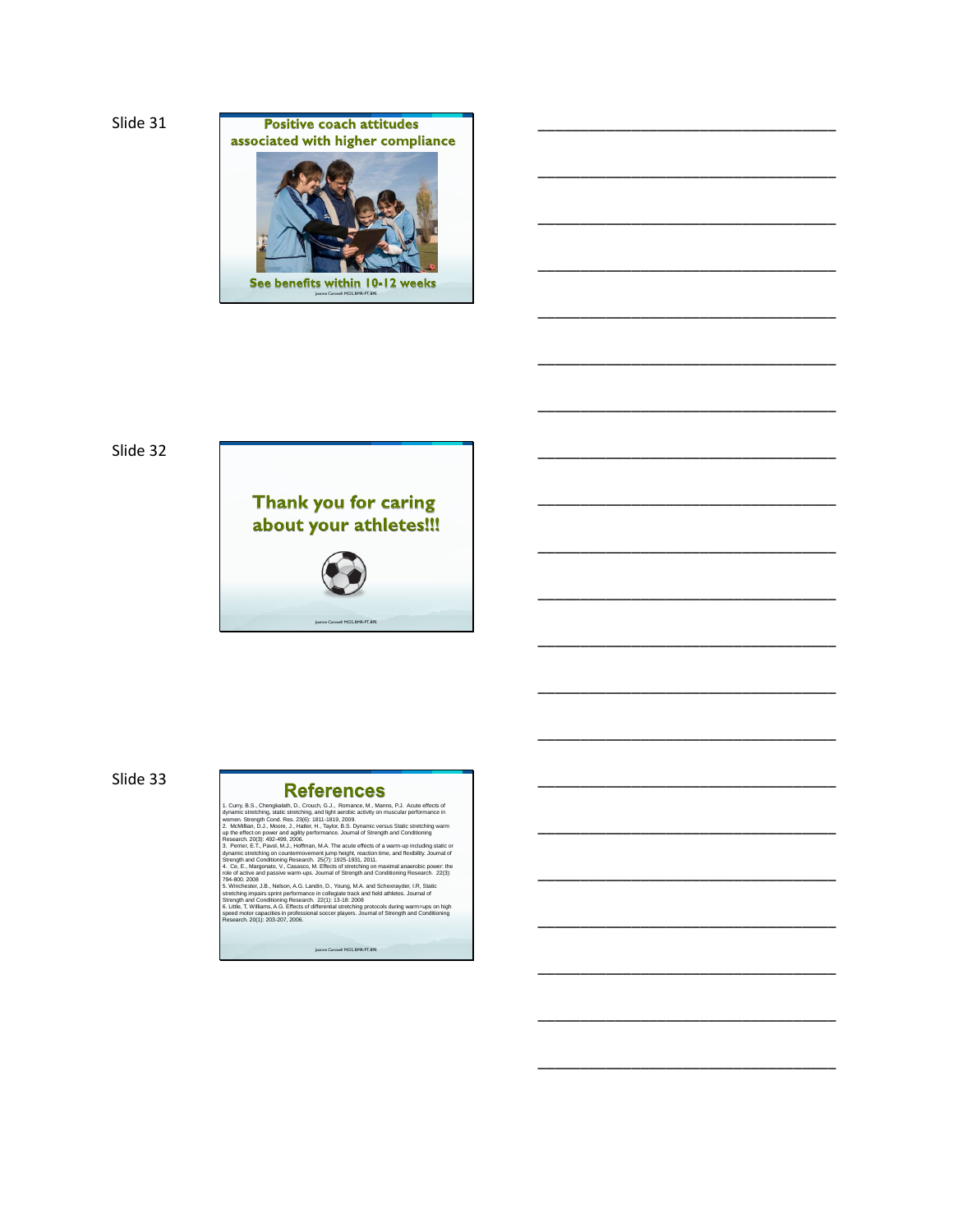Slide 31



\_\_\_\_\_\_\_\_\_\_\_\_\_\_\_\_\_\_\_\_\_\_\_\_\_\_\_\_\_\_\_\_\_\_\_

\_\_\_\_\_\_\_\_\_\_\_\_\_\_\_\_\_\_\_\_\_\_\_\_\_\_\_\_\_\_\_\_\_\_\_

\_\_\_\_\_\_\_\_\_\_\_\_\_\_\_\_\_\_\_\_\_\_\_\_\_\_\_\_\_\_\_\_\_\_\_

\_\_\_\_\_\_\_\_\_\_\_\_\_\_\_\_\_\_\_\_\_\_\_\_\_\_\_\_\_\_\_\_\_\_\_

\_\_\_\_\_\_\_\_\_\_\_\_\_\_\_\_\_\_\_\_\_\_\_\_\_\_\_\_\_\_\_\_\_\_\_

\_\_\_\_\_\_\_\_\_\_\_\_\_\_\_\_\_\_\_\_\_\_\_\_\_\_\_\_\_\_\_\_\_\_\_

\_\_\_\_\_\_\_\_\_\_\_\_\_\_\_\_\_\_\_\_\_\_\_\_\_\_\_\_\_\_\_\_\_\_\_

\_\_\_\_\_\_\_\_\_\_\_\_\_\_\_\_\_\_\_\_\_\_\_\_\_\_\_\_\_\_\_\_\_\_\_

\_\_\_\_\_\_\_\_\_\_\_\_\_\_\_\_\_\_\_\_\_\_\_\_\_\_\_\_\_\_\_\_\_\_\_

\_\_\_\_\_\_\_\_\_\_\_\_\_\_\_\_\_\_\_\_\_\_\_\_\_\_\_\_\_\_\_\_\_\_\_

\_\_\_\_\_\_\_\_\_\_\_\_\_\_\_\_\_\_\_\_\_\_\_\_\_\_\_\_\_\_\_\_\_\_\_

\_\_\_\_\_\_\_\_\_\_\_\_\_\_\_\_\_\_\_\_\_\_\_\_\_\_\_\_\_\_\_\_\_\_\_

\_\_\_\_\_\_\_\_\_\_\_\_\_\_\_\_\_\_\_\_\_\_\_\_\_\_\_\_\_\_\_\_\_\_\_

\_\_\_\_\_\_\_\_\_\_\_\_\_\_\_\_\_\_\_\_\_\_\_\_\_\_\_\_\_\_\_\_\_\_\_

\_\_\_\_\_\_\_\_\_\_\_\_\_\_\_\_\_\_\_\_\_\_\_\_\_\_\_\_\_\_\_\_\_\_\_

\_\_\_\_\_\_\_\_\_\_\_\_\_\_\_\_\_\_\_\_\_\_\_\_\_\_\_\_\_\_\_\_\_\_\_

\_\_\_\_\_\_\_\_\_\_\_\_\_\_\_\_\_\_\_\_\_\_\_\_\_\_\_\_\_\_\_\_\_\_\_

\_\_\_\_\_\_\_\_\_\_\_\_\_\_\_\_\_\_\_\_\_\_\_\_\_\_\_\_\_\_\_\_\_\_\_

\_\_\_\_\_\_\_\_\_\_\_\_\_\_\_\_\_\_\_\_\_\_\_\_\_\_\_\_\_\_\_\_\_\_\_

\_\_\_\_\_\_\_\_\_\_\_\_\_\_\_\_\_\_\_\_\_\_\_\_\_\_\_\_\_\_\_\_\_\_\_

\_\_\_\_\_\_\_\_\_\_\_\_\_\_\_\_\_\_\_\_\_\_\_\_\_\_\_\_\_\_\_\_\_\_\_

## Slide 32



## Slide 33

#### **References**

1. Curry, B.S., Chengkailath, D., Crouch, G.J., Romanco, M., Manns, P.J. Accuse effects of<br>
dynamic stretching, static stretching, and light aerobic activity on muscular performance in<br>
women. Streetyin Coor. Res. 23(6):

Joanne Carswell MClS, BMR-PT, BPE